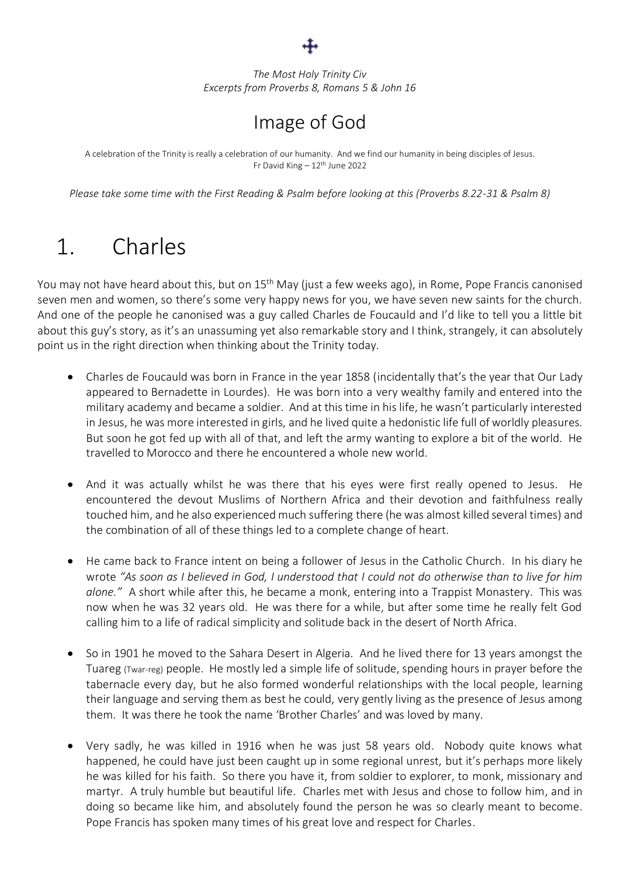*The Most Holy Trinity Civ Excerpts from Proverbs 8, Romans 5 & John 16*

#### Image of God

A celebration of the Trinity is really a celebration of our humanity. And we find our humanity in being disciples of Jesus. Fr David King - 12<sup>th</sup> June 2022

*Please take some time with the First Reading & Psalm before looking at this (Proverbs 8.22-31 & Psalm 8)*

## 1. Charles

You may not have heard about this, but on 15<sup>th</sup> May (just a few weeks ago), in Rome, Pope Francis canonised seven men and women, so there's some very happy news for you, we have seven new saints for the church. And one of the people he canonised was a guy called Charles de Foucauld and I'd like to tell you a little bit about this guy's story, as it's an unassuming yet also remarkable story and I think, strangely, it can absolutely point us in the right direction when thinking about the Trinity today.

- Charles de Foucauld was born in France in the year 1858 (incidentally that's the year that Our Lady appeared to Bernadette in Lourdes). He was born into a very wealthy family and entered into the military academy and became a soldier. And at this time in his life, he wasn't particularly interested in Jesus, he was more interested in girls, and he lived quite a hedonistic life full of worldly pleasures. But soon he got fed up with all of that, and left the army wanting to explore a bit of the world. He travelled to Morocco and there he encountered a whole new world.
- And it was actually whilst he was there that his eyes were first really opened to Jesus. He encountered the devout Muslims of Northern Africa and their devotion and faithfulness really touched him, and he also experienced much suffering there (he was almost killed several times) and the combination of all of these things led to a complete change of heart.
- He came back to France intent on being a follower of Jesus in the Catholic Church. In his diary he wrote *"As soon as I believed in God, I understood that I could not do otherwise than to live for him alone."* A short while after this, he became a monk, entering into a Trappist Monastery. This was now when he was 32 years old. He was there for a while, but after some time he really felt God calling him to a life of radical simplicity and solitude back in the desert of North Africa.
- So in 1901 he moved to the Sahara Desert in Algeria. And he lived there for 13 years amongst the Tuareg (Twar-reg) people. He mostly led a simple life of solitude, spending hours in prayer before the tabernacle every day, but he also formed wonderful relationships with the local people, learning their language and serving them as best he could, very gently living as the presence of Jesus among them. It was there he took the name 'Brother Charles' and was loved by many.
- Very sadly, he was killed in 1916 when he was just 58 years old. Nobody quite knows what happened, he could have just been caught up in some regional unrest, but it's perhaps more likely he was killed for his faith. So there you have it, from soldier to explorer, to monk, missionary and martyr. A truly humble but beautiful life. Charles met with Jesus and chose to follow him, and in doing so became like him, and absolutely found the person he was so clearly meant to become. Pope Francis has spoken many times of his great love and respect for Charles.